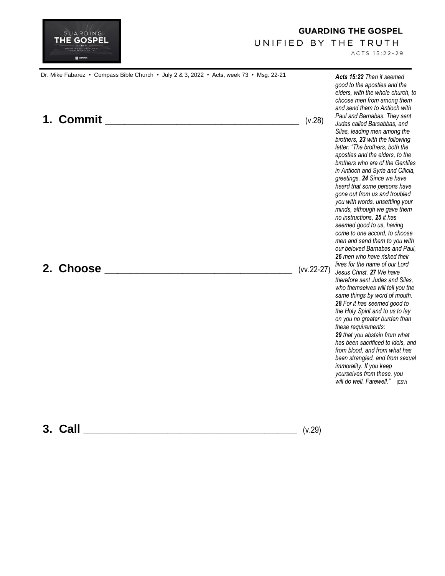

## **GUARDING THE GOSPEL**

## UNIFIED BY THE TRUTH

ACTS 15:22-29

| Dr. Mike Fabarez • Compass Bible Church • July 2 & 3, 2022 • Acts, week 73 • Msg. 22-21<br>1. Commit | (v.28)       | Acts 15:22 Then it seemed<br>good to the apostles and the<br>elders, with the whole church, to<br>choose men from among them<br>and send them to Antioch with<br>Paul and Barnabas. They sent<br>Judas called Barsabbas, and<br>Silas, leading men among the<br>brothers, 23 with the following<br>letter: "The brothers, both the<br>apostles and the elders, to the<br>brothers who are of the Gentiles<br>in Antioch and Syria and Cilicia,<br>greetings. 24 Since we have<br>heard that some persons have<br>gone out from us and troubled<br>you with words, unsettling your<br>minds, although we gave them<br>no instructions, 25 it has<br>seemed good to us, having<br>come to one accord, to choose<br>men and send them to you with<br>our beloved Barnabas and Paul,<br>26 men who have risked their<br>lives for the name of our Lord<br>Jesus Christ. 27 We have<br>therefore sent Judas and Silas,<br>who themselves will tell you the<br>same things by word of mouth.<br>28 For it has seemed good to<br>the Holy Spirit and to us to lay<br>on you no greater burden than<br>these requirements:<br>29 that you abstain from what<br>has been sacrificed to idols, and<br>from blood, and from what has<br>been strangled, and from sexual<br>immorality. If you keep<br>yourselves from these, you<br>will do well. Farewell." (ESV) |
|------------------------------------------------------------------------------------------------------|--------------|---------------------------------------------------------------------------------------------------------------------------------------------------------------------------------------------------------------------------------------------------------------------------------------------------------------------------------------------------------------------------------------------------------------------------------------------------------------------------------------------------------------------------------------------------------------------------------------------------------------------------------------------------------------------------------------------------------------------------------------------------------------------------------------------------------------------------------------------------------------------------------------------------------------------------------------------------------------------------------------------------------------------------------------------------------------------------------------------------------------------------------------------------------------------------------------------------------------------------------------------------------------------------------------------------------------------------------------------------------|
| 2. Choose                                                                                            | $(vv.22-27)$ |                                                                                                                                                                                                                                                                                                                                                                                                                                                                                                                                                                                                                                                                                                                                                                                                                                                                                                                                                                                                                                                                                                                                                                                                                                                                                                                                                         |

**3. Call \_\_\_\_\_\_\_\_\_\_\_\_\_\_\_\_\_\_\_\_\_\_\_\_\_\_\_\_\_\_\_\_\_** (v.29)